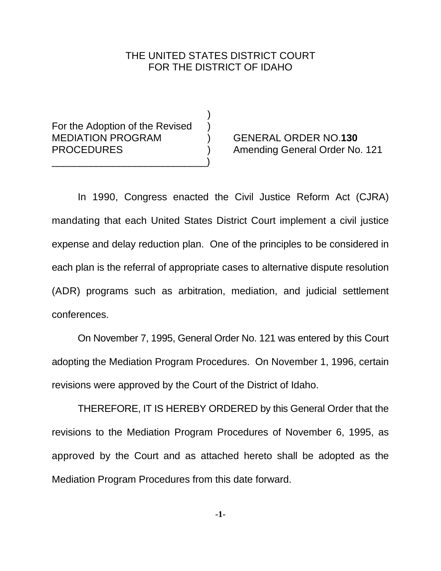# THE UNITED STATES DISTRICT COURT FOR THE DISTRICT OF IDAHO

)

For the Adoption of the Revised MEDIATION PROGRAM ) GENERAL ORDER NO.**130** \_\_\_\_\_\_\_\_\_\_\_\_\_\_\_\_\_\_\_\_\_\_\_\_\_\_\_\_)

PROCEDURES ) Amending General Order No. 121

In 1990, Congress enacted the Civil Justice Reform Act (CJRA) mandating that each United States District Court implement a civil justice expense and delay reduction plan. One of the principles to be considered in each plan is the referral of appropriate cases to alternative dispute resolution (ADR) programs such as arbitration, mediation, and judicial settlement conferences.

On November 7, 1995, General Order No. 121 was entered by this Court adopting the Mediation Program Procedures. On November 1, 1996, certain revisions were approved by the Court of the District of Idaho.

THEREFORE, IT IS HEREBY ORDERED by this General Order that the revisions to the Mediation Program Procedures of November 6, 1995, as approved by the Court and as attached hereto shall be adopted as the Mediation Program Procedures from this date forward.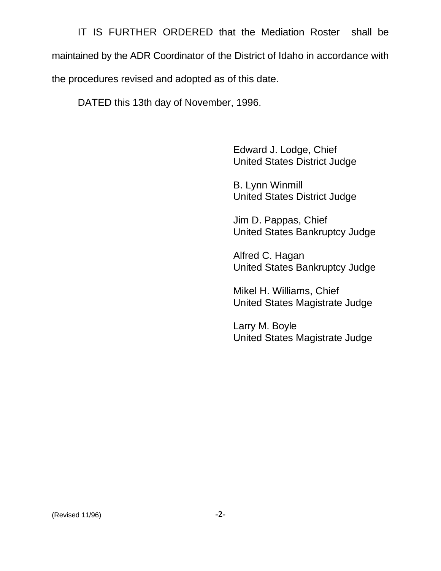IT IS FURTHER ORDERED that the Mediation Roster shall be maintained by the ADR Coordinator of the District of Idaho in accordance with the procedures revised and adopted as of this date.

DATED this 13th day of November, 1996.

Edward J. Lodge, Chief United States District Judge

B. Lynn Winmill United States District Judge

Jim D. Pappas, Chief United States Bankruptcy Judge

Alfred C. Hagan United States Bankruptcy Judge

Mikel H. Williams, Chief United States Magistrate Judge

Larry M. Boyle United States Magistrate Judge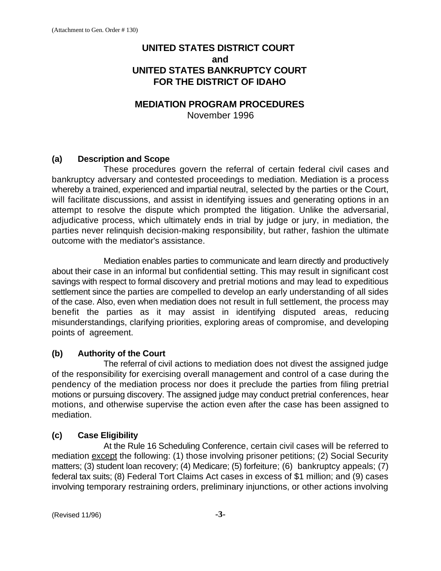# **UNITED STATES DISTRICT COURT and UNITED STATES BANKRUPTCY COURT FOR THE DISTRICT OF IDAHO**

## **MEDIATION PROGRAM PROCEDURES**

November 1996

## **(a) Description and Scope**

These procedures govern the referral of certain federal civil cases and bankruptcy adversary and contested proceedings to mediation. Mediation is a process whereby a trained, experienced and impartial neutral, selected by the parties or the Court, will facilitate discussions, and assist in identifying issues and generating options in an attempt to resolve the dispute which prompted the litigation. Unlike the adversarial, adjudicative process, which ultimately ends in trial by judge or jury, in mediation, the parties never relinquish decision-making responsibility, but rather, fashion the ultimate outcome with the mediator's assistance.

Mediation enables parties to communicate and learn directly and productively about their case in an informal but confidential setting. This may result in significant cost savings with respect to formal discovery and pretrial motions and may lead to expeditious settlement since the parties are compelled to develop an early understanding of all sides of the case. Also, even when mediation does not result in full settlement, the process may benefit the parties as it may assist in identifying disputed areas, reducing misunderstandings, clarifying priorities, exploring areas of compromise, and developing points of agreement.

## **(b) Authority of the Court**

The referral of civil actions to mediation does not divest the assigned judge of the responsibility for exercising overall management and control of a case during the pendency of the mediation process nor does it preclude the parties from filing pretrial motions or pursuing discovery. The assigned judge may conduct pretrial conferences, hear motions, and otherwise supervise the action even after the case has been assigned to mediation.

## **(c) Case Eligibility**

At the Rule 16 Scheduling Conference, certain civil cases will be referred to mediation except the following: (1) those involving prisoner petitions; (2) Social Security matters; (3) student loan recovery; (4) Medicare; (5) forfeiture; (6) bankruptcy appeals; (7) federal tax suits; (8) Federal Tort Claims Act cases in excess of \$1 million; and (9) cases involving temporary restraining orders, preliminary injunctions, or other actions involving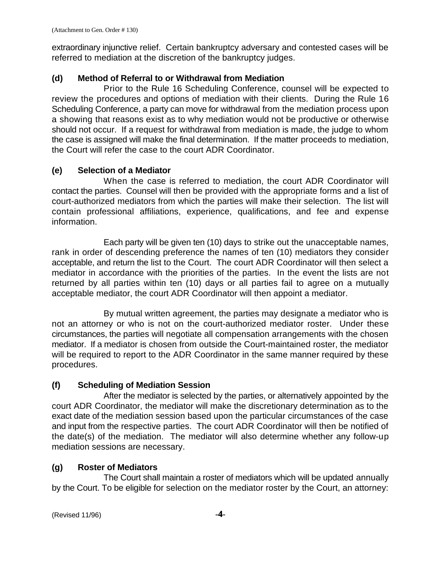extraordinary injunctive relief. Certain bankruptcy adversary and contested cases will be referred to mediation at the discretion of the bankruptcy judges.

#### **(d) Method of Referral to or Withdrawal from Mediation**

Prior to the Rule 16 Scheduling Conference, counsel will be expected to review the procedures and options of mediation with their clients. During the Rule 16 Scheduling Conference, a party can move for withdrawal from the mediation process upon a showing that reasons exist as to why mediation would not be productive or otherwise should not occur. If a request for withdrawal from mediation is made, the judge to whom the case is assigned will make the final determination. If the matter proceeds to mediation, the Court will refer the case to the court ADR Coordinator.

#### **(e) Selection of a Mediator**

When the case is referred to mediation, the court ADR Coordinator will contact the parties. Counsel will then be provided with the appropriate forms and a list of court-authorized mediators from which the parties will make their selection. The list will contain professional affiliations, experience, qualifications, and fee and expense information.

Each party will be given ten (10) days to strike out the unacceptable names, rank in order of descending preference the names of ten (10) mediators they consider acceptable, and return the list to the Court. The court ADR Coordinator will then select a mediator in accordance with the priorities of the parties. In the event the lists are not returned by all parties within ten (10) days or all parties fail to agree on a mutually acceptable mediator, the court ADR Coordinator will then appoint a mediator.

By mutual written agreement, the parties may designate a mediator who is not an attorney or who is not on the court-authorized mediator roster. Under these circumstances, the parties will negotiate all compensation arrangements with the chosen mediator. If a mediator is chosen from outside the Court-maintained roster, the mediator will be required to report to the ADR Coordinator in the same manner required by these procedures.

#### **(f) Scheduling of Mediation Session**

After the mediator is selected by the parties, or alternatively appointed by the court ADR Coordinator, the mediator will make the discretionary determination as to the exact date of the mediation session based upon the particular circumstances of the case and input from the respective parties. The court ADR Coordinator will then be notified of the date(s) of the mediation. The mediator will also determine whether any follow-up mediation sessions are necessary.

#### **(g) Roster of Mediators**

The Court shall maintain a roster of mediators which will be updated annually by the Court. To be eligible for selection on the mediator roster by the Court, an attorney: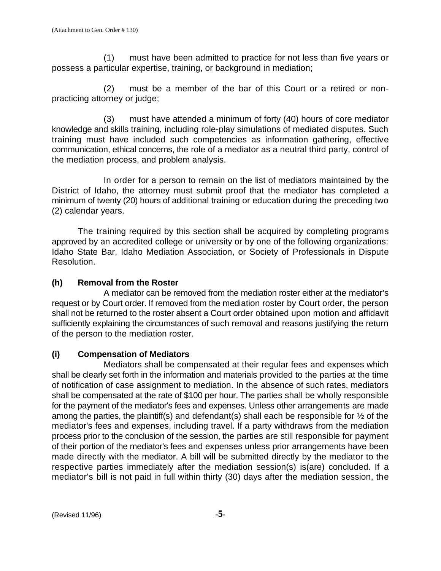(1) must have been admitted to practice for not less than five years or possess a particular expertise, training, or background in mediation;

(2) must be a member of the bar of this Court or a retired or nonpracticing attorney or judge;

(3) must have attended a minimum of forty (40) hours of core mediator knowledge and skills training, including role-play simulations of mediated disputes. Such training must have included such competencies as information gathering, effective communication, ethical concerns, the role of a mediator as a neutral third party, control of the mediation process, and problem analysis.

In order for a person to remain on the list of mediators maintained by the District of Idaho, the attorney must submit proof that the mediator has completed a minimum of twenty (20) hours of additional training or education during the preceding two (2) calendar years.

The training required by this section shall be acquired by completing programs approved by an accredited college or university or by one of the following organizations: Idaho State Bar, Idaho Mediation Association, or Society of Professionals in Dispute Resolution.

## **(h) Removal from the Roster**

A mediator can be removed from the mediation roster either at the mediator's request or by Court order. If removed from the mediation roster by Court order, the person shall not be returned to the roster absent a Court order obtained upon motion and affidavit sufficiently explaining the circumstances of such removal and reasons justifying the return of the person to the mediation roster.

## **(i) Compensation of Mediators**

Mediators shall be compensated at their regular fees and expenses which shall be clearly set forth in the information and materials provided to the parties at the time of notification of case assignment to mediation. In the absence of such rates, mediators shall be compensated at the rate of \$100 per hour. The parties shall be wholly responsible for the payment of the mediator's fees and expenses. Unless other arrangements are made among the parties, the plaintiff(s) and defendant(s) shall each be responsible for  $\frac{1}{2}$  of the mediator's fees and expenses, including travel. If a party withdraws from the mediation process prior to the conclusion of the session, the parties are still responsible for payment of their portion of the mediator's fees and expenses unless prior arrangements have been made directly with the mediator. A bill will be submitted directly by the mediator to the respective parties immediately after the mediation session(s) is(are) concluded. If a mediator's bill is not paid in full within thirty (30) days after the mediation session, the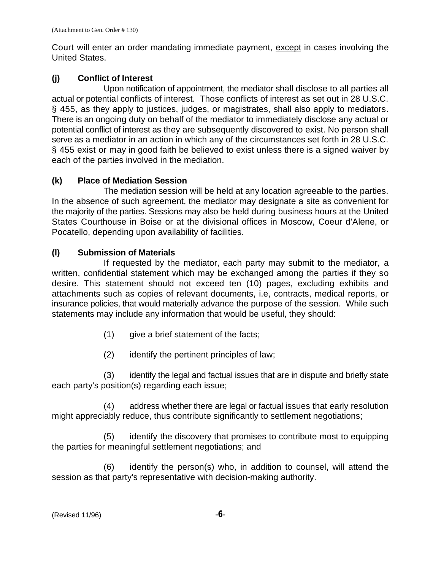Court will enter an order mandating immediate payment, except in cases involving the United States.

### **(j) Conflict of Interest**

Upon notification of appointment, the mediator shall disclose to all parties all actual or potential conflicts of interest. Those conflicts of interest as set out in 28 U.S.C. § 455, as they apply to justices, judges, or magistrates, shall also apply to mediators. There is an ongoing duty on behalf of the mediator to immediately disclose any actual or potential conflict of interest as they are subsequently discovered to exist. No person shall serve as a mediator in an action in which any of the circumstances set forth in 28 U.S.C. § 455 exist or may in good faith be believed to exist unless there is a signed waiver by each of the parties involved in the mediation.

#### **(k) Place of Mediation Session**

The mediation session will be held at any location agreeable to the parties. In the absence of such agreement, the mediator may designate a site as convenient for the majority of the parties. Sessions may also be held during business hours at the United States Courthouse in Boise or at the divisional offices in Moscow, Coeur d'Alene, or Pocatello, depending upon availability of facilities.

### **(l) Submission of Materials**

If requested by the mediator, each party may submit to the mediator, a written, confidential statement which may be exchanged among the parties if they so desire. This statement should not exceed ten (10) pages, excluding exhibits and attachments such as copies of relevant documents, i.e, contracts, medical reports, or insurance policies, that would materially advance the purpose of the session. While such statements may include any information that would be useful, they should:

- $(1)$  give a brief statement of the facts;
- (2) identify the pertinent principles of law;

(3) identify the legal and factual issues that are in dispute and briefly state each party's position(s) regarding each issue;

(4) address whether there are legal or factual issues that early resolution might appreciably reduce, thus contribute significantly to settlement negotiations;

(5) identify the discovery that promises to contribute most to equipping the parties for meaningful settlement negotiations; and

(6) identify the person(s) who, in addition to counsel, will attend the session as that party's representative with decision-making authority.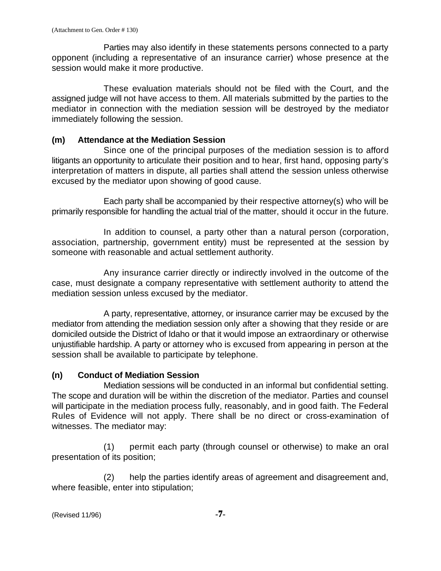Parties may also identify in these statements persons connected to a party opponent (including a representative of an insurance carrier) whose presence at the session would make it more productive.

These evaluation materials should not be filed with the Court, and the assigned judge will not have access to them. All materials submitted by the parties to the mediator in connection with the mediation session will be destroyed by the mediator immediately following the session.

#### **(m) Attendance at the Mediation Session**

Since one of the principal purposes of the mediation session is to afford litigants an opportunity to articulate their position and to hear, first hand, opposing party's interpretation of matters in dispute, all parties shall attend the session unless otherwise excused by the mediator upon showing of good cause.

Each party shall be accompanied by their respective attorney(s) who will be primarily responsible for handling the actual trial of the matter, should it occur in the future.

In addition to counsel, a party other than a natural person (corporation, association, partnership, government entity) must be represented at the session by someone with reasonable and actual settlement authority.

Any insurance carrier directly or indirectly involved in the outcome of the case, must designate a company representative with settlement authority to attend the mediation session unless excused by the mediator.

A party, representative, attorney, or insurance carrier may be excused by the mediator from attending the mediation session only after a showing that they reside or are domiciled outside the District of Idaho or that it would impose an extraordinary or otherwise unjustifiable hardship. A party or attorney who is excused from appearing in person at the session shall be available to participate by telephone.

#### **(n) Conduct of Mediation Session**

Mediation sessions will be conducted in an informal but confidential setting. The scope and duration will be within the discretion of the mediator. Parties and counsel will participate in the mediation process fully, reasonably, and in good faith. The Federal Rules of Evidence will not apply. There shall be no direct or cross-examination of witnesses. The mediator may:

(1) permit each party (through counsel or otherwise) to make an oral presentation of its position;

(2) help the parties identify areas of agreement and disagreement and, where feasible, enter into stipulation;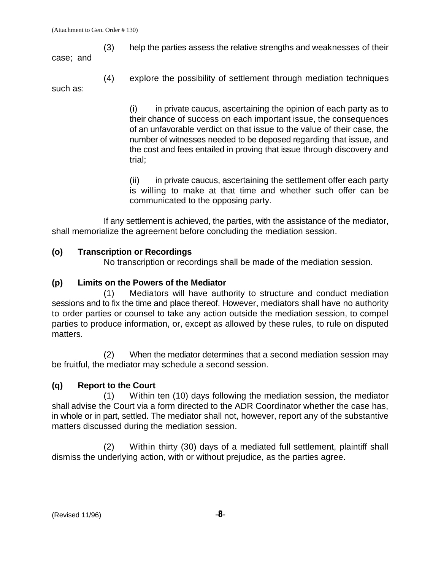(3) help the parties assess the relative strengths and weaknesses of their

case; and

(4) explore the possibility of settlement through mediation techniques such as:

> (i) in private caucus, ascertaining the opinion of each party as to their chance of success on each important issue, the consequences of an unfavorable verdict on that issue to the value of their case, the number of witnesses needed to be deposed regarding that issue, and the cost and fees entailed in proving that issue through discovery and trial;

> (ii) in private caucus, ascertaining the settlement offer each party is willing to make at that time and whether such offer can be communicated to the opposing party.

If any settlement is achieved, the parties, with the assistance of the mediator, shall memorialize the agreement before concluding the mediation session.

## **(o) Transcription or Recordings**

No transcription or recordings shall be made of the mediation session.

# **(p) Limits on the Powers of the Mediator**

(1) Mediators will have authority to structure and conduct mediation sessions and to fix the time and place thereof. However, mediators shall have no authority to order parties or counsel to take any action outside the mediation session, to compel parties to produce information, or, except as allowed by these rules, to rule on disputed matters.

(2) When the mediator determines that a second mediation session may be fruitful, the mediator may schedule a second session.

# **(q) Report to the Court**

(1) Within ten (10) days following the mediation session, the mediator shall advise the Court via a form directed to the ADR Coordinator whether the case has, in whole or in part, settled. The mediator shall not, however, report any of the substantive matters discussed during the mediation session.

(2) Within thirty (30) days of a mediated full settlement, plaintiff shall dismiss the underlying action, with or without prejudice, as the parties agree.